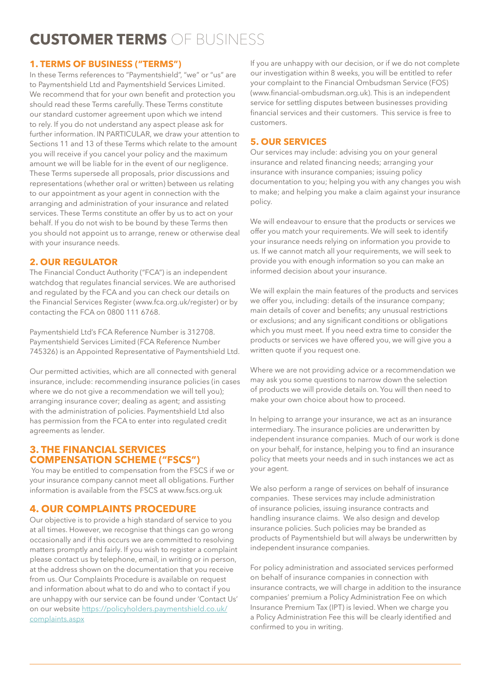# **CUSTOMER TERMS** OF BUSINESS

# **1. TERMS OF BUSINESS ("TERMS")**

In these Terms references to "Paymentshield", "we" or "us" are to Paymentshield Ltd and Paymentshield Services Limited. We recommend that for your own benefit and protection you should read these Terms carefully. These Terms constitute our standard customer agreement upon which we intend to rely. If you do not understand any aspect please ask for further information. IN PARTICULAR, we draw your attention to Sections 11 and 13 of these Terms which relate to the amount you will receive if you cancel your policy and the maximum amount we will be liable for in the event of our negligence. These Terms supersede all proposals, prior discussions and representations (whether oral or written) between us relating to our appointment as your agent in connection with the arranging and administration of your insurance and related services. These Terms constitute an offer by us to act on your behalf. If you do not wish to be bound by these Terms then you should not appoint us to arrange, renew or otherwise deal with your insurance needs.

## **2. OUR REGULATOR**

The Financial Conduct Authority ("FCA") is an independent watchdog that regulates financial services. We are authorised and regulated by the FCA and you can check our details on the Financial Services Register (www.fca.org.uk/register) or by contacting the FCA on 0800 111 6768.

Paymentshield Ltd's FCA Reference Number is 312708. Paymentshield Services Limited (FCA Reference Number 745326) is an Appointed Representative of Paymentshield Ltd.

Our permitted activities, which are all connected with general insurance, include: recommending insurance policies (in cases where we do not give a recommendation we will tell you); arranging insurance cover; dealing as agent; and assisting with the administration of policies. Paymentshield Ltd also has permission from the FCA to enter into regulated credit agreements as lender.

# **3. THE FINANCIAL SERVICES COMPENSATION SCHEME ("FSCS")**

 You may be entitled to compensation from the FSCS if we or your insurance company cannot meet all obligations. Further information is available from the FSCS at www.fscs.org.uk

# **4. OUR COMPLAINTS PROCEDURE**

Our objective is to provide a high standard of service to you at all times. However, we recognise that things can go wrong occasionally and if this occurs we are committed to resolving matters promptly and fairly. If you wish to register a complaint please contact us by telephone, email, in writing or in person, at the address shown on the documentation that you receive from us. Our Complaints Procedure is available on request and information about what to do and who to contact if you are unhappy with our service can be found under 'Contact Us' on our website https://policyholders.paymentshield.co.uk/ complaints.aspx

If you are unhappy with our decision, or if we do not complete our investigation within 8 weeks, you will be entitled to refer your complaint to the Financial Ombudsman Service (FOS) (www.financial-ombudsman.org.uk). This is an independent service for settling disputes between businesses providing financial services and their customers. This service is free to customers.

# **5. OUR SERVICES**

Our services may include: advising you on your general insurance and related financing needs; arranging your insurance with insurance companies; issuing policy documentation to you; helping you with any changes you wish to make; and helping you make a claim against your insurance policy.

We will endeavour to ensure that the products or services we offer you match your requirements. We will seek to identify your insurance needs relying on information you provide to us. If we cannot match all your requirements, we will seek to provide you with enough information so you can make an informed decision about your insurance.

We will explain the main features of the products and services we offer you, including: details of the insurance company; main details of cover and benefits; any unusual restrictions or exclusions; and any significant conditions or obligations which you must meet. If you need extra time to consider the products or services we have offered you, we will give you a written quote if you request one.

Where we are not providing advice or a recommendation we may ask you some questions to narrow down the selection of products we will provide details on. You will then need to make your own choice about how to proceed.

In helping to arrange your insurance, we act as an insurance intermediary. The insurance policies are underwritten by independent insurance companies. Much of our work is done on your behalf, for instance, helping you to find an insurance policy that meets your needs and in such instances we act as your agent.

We also perform a range of services on behalf of insurance companies. These services may include administration of insurance policies, issuing insurance contracts and handling insurance claims. We also design and develop insurance policies. Such policies may be branded as products of Paymentshield but will always be underwritten by independent insurance companies.

For policy administration and associated services performed on behalf of insurance companies in connection with insurance contracts, we will charge in addition to the insurance companies' premium a Policy Administration Fee on which Insurance Premium Tax (IPT) is levied. When we charge you a Policy Administration Fee this will be clearly identified and confirmed to you in writing.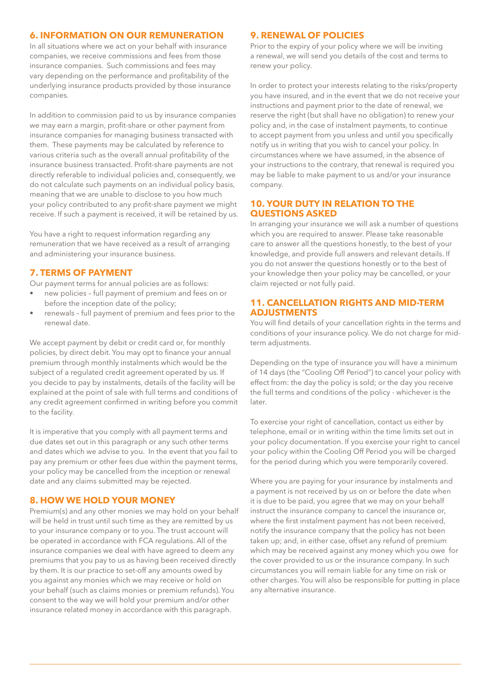## **6. INFORMATION ON OUR REMUNERATION**

In all situations where we act on your behalf with insurance companies, we receive commissions and fees from those insurance companies. Such commissions and fees may vary depending on the performance and profitability of the underlying insurance products provided by those insurance companies.

In addition to commission paid to us by insurance companies we may earn a margin, profit-share or other payment from insurance companies for managing business transacted with them. These payments may be calculated by reference to various criteria such as the overall annual profitability of the insurance business transacted. Profit-share payments are not directly referable to individual policies and, consequently, we do not calculate such payments on an individual policy basis, meaning that we are unable to disclose to you how much your policy contributed to any profit-share payment we might receive. If such a payment is received, it will be retained by us.

You have a right to request information regarding any remuneration that we have received as a result of arranging and administering your insurance business.

#### **7. TERMS OF PAYMENT**

Our payment terms for annual policies are as follows:

- new policies full payment of premium and fees on or before the inception date of the policy;
- renewals full payment of premium and fees prior to the renewal date.

We accept payment by debit or credit card or, for monthly policies, by direct debit. You may opt to finance your annual premium through monthly instalments which would be the subject of a regulated credit agreement operated by us. If you decide to pay by instalments, details of the facility will be explained at the point of sale with full terms and conditions of any credit agreement confirmed in writing before you commit to the facility.

It is imperative that you comply with all payment terms and due dates set out in this paragraph or any such other terms and dates which we advise to you. In the event that you fail to pay any premium or other fees due within the payment terms, your policy may be cancelled from the inception or renewal date and any claims submitted may be rejected.

#### **8. HOW WE HOLD YOUR MONEY**

Premium(s) and any other monies we may hold on your behalf will be held in trust until such time as they are remitted by us to your insurance company or to you. The trust account will be operated in accordance with FCA regulations. All of the insurance companies we deal with have agreed to deem any premiums that you pay to us as having been received directly by them. It is our practice to set-off any amounts owed by you against any monies which we may receive or hold on your behalf (such as claims monies or premium refunds). You consent to the way we will hold your premium and/or other insurance related money in accordance with this paragraph.

#### **9. RENEWAL OF POLICIES**

Prior to the expiry of your policy where we will be inviting a renewal, we will send you details of the cost and terms to renew your policy.

In order to protect your interests relating to the risks/property you have insured, and in the event that we do not receive your instructions and payment prior to the date of renewal, we reserve the right (but shall have no obligation) to renew your policy and, in the case of instalment payments, to continue to accept payment from you unless and until you specifically notify us in writing that you wish to cancel your policy. In circumstances where we have assumed, in the absence of your instructions to the contrary, that renewal is required you may be liable to make payment to us and/or your insurance company.

### **10. YOUR DUTY IN RELATION TO THE QUESTIONS ASKED**

In arranging your insurance we will ask a number of questions which you are required to answer. Please take reasonable care to answer all the questions honestly, to the best of your knowledge, and provide full answers and relevant details. If you do not answer the questions honestly or to the best of your knowledge then your policy may be cancelled, or your claim rejected or not fully paid.

## **11. CANCELLATION RIGHTS AND MID-TERM ADJUSTMENTS**

You will find details of your cancellation rights in the terms and conditions of your insurance policy. We do not charge for midterm adjustments.

Depending on the type of insurance you will have a minimum of 14 days (the "Cooling Off Period") to cancel your policy with effect from: the day the policy is sold; or the day you receive the full terms and conditions of the policy - whichever is the later.

To exercise your right of cancellation, contact us either by telephone, email or in writing within the time limits set out in your policy documentation. If you exercise your right to cancel your policy within the Cooling Off Period you will be charged for the period during which you were temporarily covered.

Where you are paying for your insurance by instalments and a payment is not received by us on or before the date when it is due to be paid, you agree that we may on your behalf instruct the insurance company to cancel the insurance or, where the first instalment payment has not been received, notify the insurance company that the policy has not been taken up; and, in either case, offset any refund of premium which may be received against any money which you owe for the cover provided to us or the insurance company. In such circumstances you will remain liable for any time on risk or other charges. You will also be responsible for putting in place any alternative insurance.